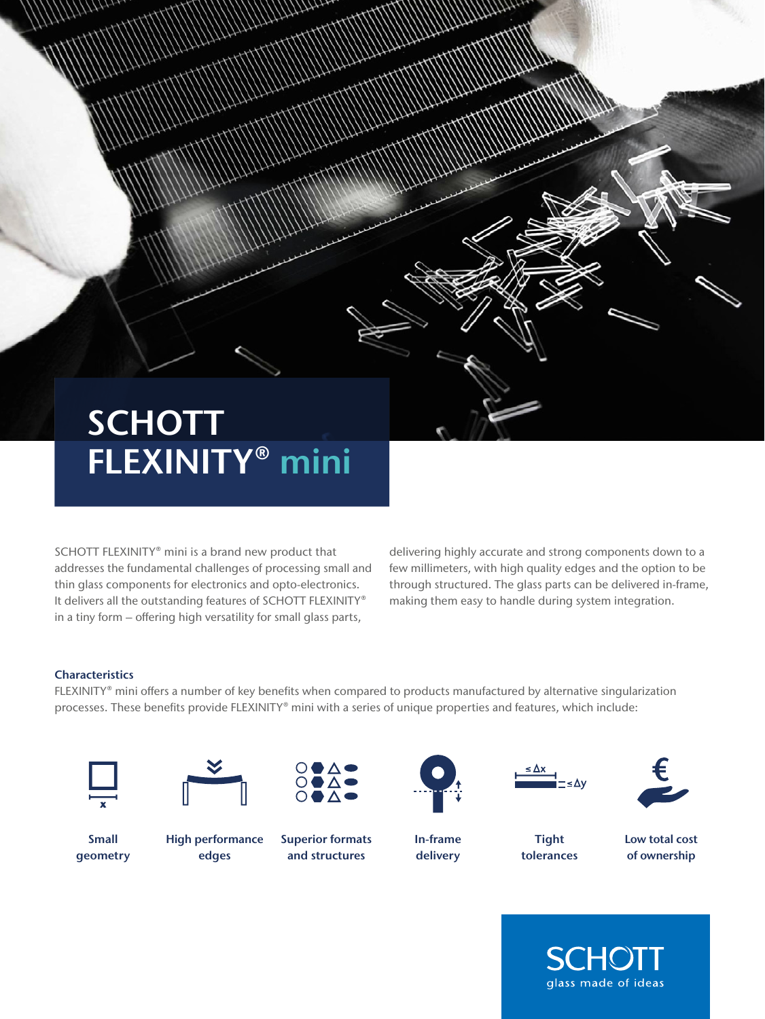## **SCHOTT** FLEXINITY® mini

SCHOTT FLEXINITY® mini is a brand new product that addresses the fundamental challenges of processing small and thin glass components for electronics and opto-electronics. It delivers all the outstanding features of SCHOTT FLEXINITY® in a tiny form – offering high versatility for small glass parts,

delivering highly accurate and strong components down to a few millimeters, with high quality edges and the option to be through structured. The glass parts can be delivered in-frame, making them easy to handle during system integration.

### **Characteristics**

FLEXINITY® mini offers a number of key benefits when compared to products manufactured by alternative singularization processes. These benefits provide FLEXINITY® mini with a series of unique properties and features, which include:





Small geometry

High performance edges

Superior formats and structures



In-frame delivery







**Tight** tolerances

Low total cost of ownership